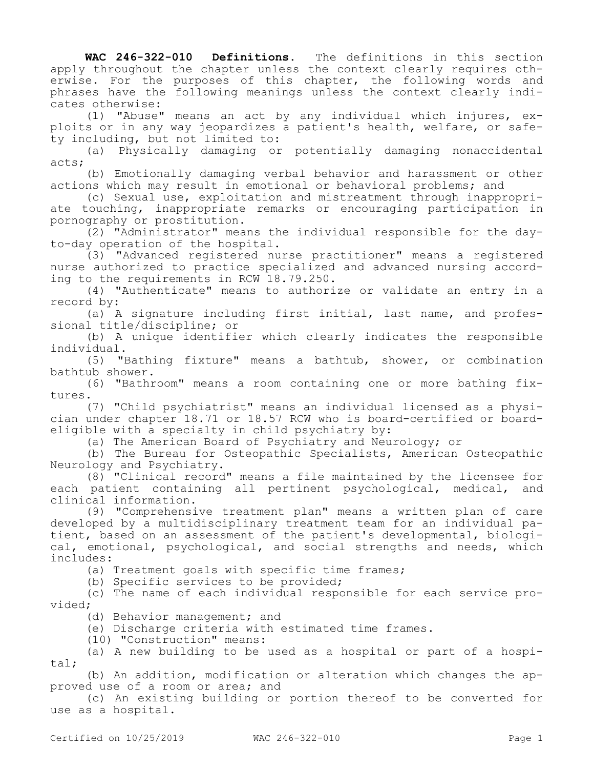**WAC 246-322-010 Definitions.** The definitions in this section apply throughout the chapter unless the context clearly requires otherwise. For the purposes of this chapter, the following words and phrases have the following meanings unless the context clearly indicates otherwise:

(1) "Abuse" means an act by any individual which injures, exploits or in any way jeopardizes a patient's health, welfare, or safety including, but not limited to:

(a) Physically damaging or potentially damaging nonaccidental acts;

(b) Emotionally damaging verbal behavior and harassment or other actions which may result in emotional or behavioral problems; and

(c) Sexual use, exploitation and mistreatment through inappropriate touching, inappropriate remarks or encouraging participation in pornography or prostitution.

(2) "Administrator" means the individual responsible for the dayto-day operation of the hospital.

(3) "Advanced registered nurse practitioner" means a registered nurse authorized to practice specialized and advanced nursing according to the requirements in RCW 18.79.250.

(4) "Authenticate" means to authorize or validate an entry in a record by:

(a) A signature including first initial, last name, and professional title/discipline; or

(b) A unique identifier which clearly indicates the responsible individual.

(5) "Bathing fixture" means a bathtub, shower, or combination bathtub shower.

(6) "Bathroom" means a room containing one or more bathing fixtures.

(7) "Child psychiatrist" means an individual licensed as a physician under chapter 18.71 or 18.57 RCW who is board-certified or boardeligible with a specialty in child psychiatry by:

(a) The American Board of Psychiatry and Neurology; or

(b) The Bureau for Osteopathic Specialists, American Osteopathic Neurology and Psychiatry.

(8) "Clinical record" means a file maintained by the licensee for each patient containing all pertinent psychological, medical, and clinical information.

(9) "Comprehensive treatment plan" means a written plan of care developed by a multidisciplinary treatment team for an individual patient, based on an assessment of the patient's developmental, biological, emotional, psychological, and social strengths and needs, which includes:

(a) Treatment goals with specific time frames;

(b) Specific services to be provided;

(c) The name of each individual responsible for each service provided;

(d) Behavior management; and

(e) Discharge criteria with estimated time frames.

(10) "Construction" means:

(a) A new building to be used as a hospital or part of a hospital;

(b) An addition, modification or alteration which changes the approved use of a room or area; and

(c) An existing building or portion thereof to be converted for use as a hospital.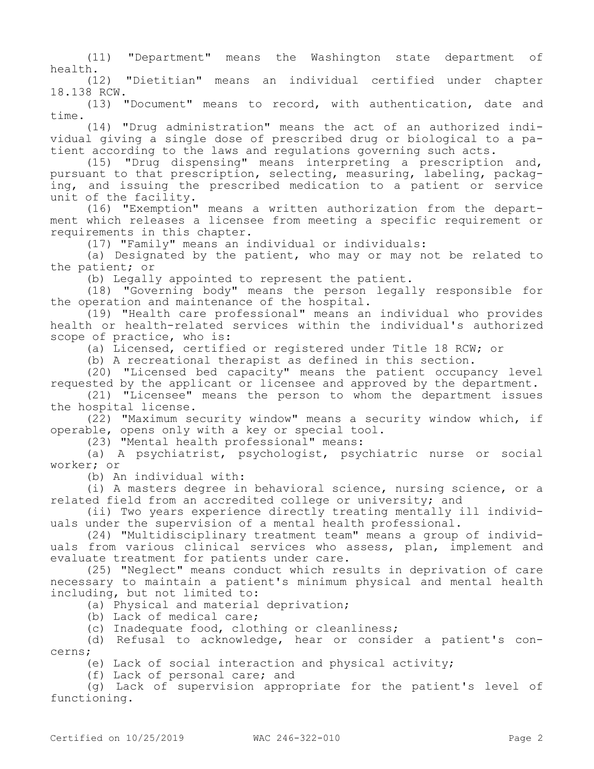(11) "Department" means the Washington state department of health.<br>(12)

"Dietitian" means an individual certified under chapter 18.138 RCW.

(13) "Document" means to record, with authentication, date and time.

(14) "Drug administration" means the act of an authorized individual giving a single dose of prescribed drug or biological to a patient according to the laws and regulations governing such acts.

(15) "Drug dispensing" means interpreting a prescription and, pursuant to that prescription, selecting, measuring, labeling, packaging, and issuing the prescribed medication to a patient or service unit of the facility.

(16) "Exemption" means a written authorization from the department which releases a licensee from meeting a specific requirement or requirements in this chapter.

(17) "Family" means an individual or individuals:

(a) Designated by the patient, who may or may not be related to the patient; or

(b) Legally appointed to represent the patient.

(18) "Governing body" means the person legally responsible for the operation and maintenance of the hospital.

(19) "Health care professional" means an individual who provides health or health-related services within the individual's authorized scope of practice, who is:

(a) Licensed, certified or registered under Title 18 RCW; or

(b) A recreational therapist as defined in this section.

(20) "Licensed bed capacity" means the patient occupancy level requested by the applicant or licensee and approved by the department.

(21) "Licensee" means the person to whom the department issues the hospital license.

(22) "Maximum security window" means a security window which, if operable, opens only with a key or special tool.

(23) "Mental health professional" means:

(a) A psychiatrist, psychologist, psychiatric nurse or social worker; or

(b) An individual with:

(i) A masters degree in behavioral science, nursing science, or a related field from an accredited college or university; and

(ii) Two years experience directly treating mentally ill individuals under the supervision of a mental health professional.

(24) "Multidisciplinary treatment team" means a group of individuals from various clinical services who assess, plan, implement and evaluate treatment for patients under care.

(25) "Neglect" means conduct which results in deprivation of care necessary to maintain a patient's minimum physical and mental health including, but not limited to:

(a) Physical and material deprivation;

(b) Lack of medical care;

(c) Inadequate food, clothing or cleanliness;

(d) Refusal to acknowledge, hear or consider a patient's concerns;

(e) Lack of social interaction and physical activity;

(f) Lack of personal care; and

(g) Lack of supervision appropriate for the patient's level of functioning.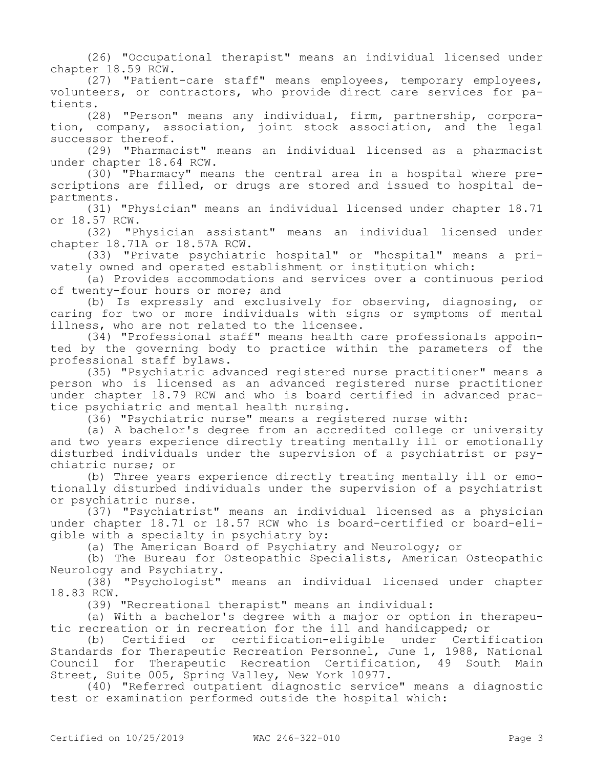(26) "Occupational therapist" means an individual licensed under chapter 18.59 RCW.

(27) "Patient-care staff" means employees, temporary employees, volunteers, or contractors, who provide direct care services for patients.

(28) "Person" means any individual, firm, partnership, corporation, company, association, joint stock association, and the legal successor thereof.

(29) "Pharmacist" means an individual licensed as a pharmacist under chapter 18.64 RCW.

(30) "Pharmacy" means the central area in a hospital where prescriptions are filled, or drugs are stored and issued to hospital departments.

(31) "Physician" means an individual licensed under chapter 18.71 or 18.57 RCW.

(32) "Physician assistant" means an individual licensed under chapter 18.71A or 18.57A RCW.

(33) "Private psychiatric hospital" or "hospital" means a privately owned and operated establishment or institution which:

(a) Provides accommodations and services over a continuous period of twenty-four hours or more; and

(b) Is expressly and exclusively for observing, diagnosing, or caring for two or more individuals with signs or symptoms of mental illness, who are not related to the licensee.

(34) "Professional staff" means health care professionals appointed by the governing body to practice within the parameters of the professional staff bylaws.

(35) "Psychiatric advanced registered nurse practitioner" means a person who is licensed as an advanced registered nurse practitioner under chapter 18.79 RCW and who is board certified in advanced practice psychiatric and mental health nursing.

(36) "Psychiatric nurse" means a registered nurse with:

(a) A bachelor's degree from an accredited college or university and two years experience directly treating mentally ill or emotionally disturbed individuals under the supervision of a psychiatrist or psychiatric nurse; or

(b) Three years experience directly treating mentally ill or emotionally disturbed individuals under the supervision of a psychiatrist or psychiatric nurse.

(37) "Psychiatrist" means an individual licensed as a physician under chapter 18.71 or 18.57 RCW who is board-certified or board-eligible with a specialty in psychiatry by:

(a) The American Board of Psychiatry and Neurology; or

(b) The Bureau for Osteopathic Specialists, American Osteopathic Neurology and Psychiatry.

(38) "Psychologist" means an individual licensed under chapter 18.83 RCW.

(39) "Recreational therapist" means an individual:

(a) With a bachelor's degree with a major or option in therapeutic recreation or in recreation for the ill and handicapped; or

(b) Certified or certification-eligible under Certification Standards for Therapeutic Recreation Personnel, June 1, 1988, National Council for Therapeutic Recreation Certification, 49 South Main Street, Suite 005, Spring Valley, New York 10977.

(40) "Referred outpatient diagnostic service" means a diagnostic test or examination performed outside the hospital which: